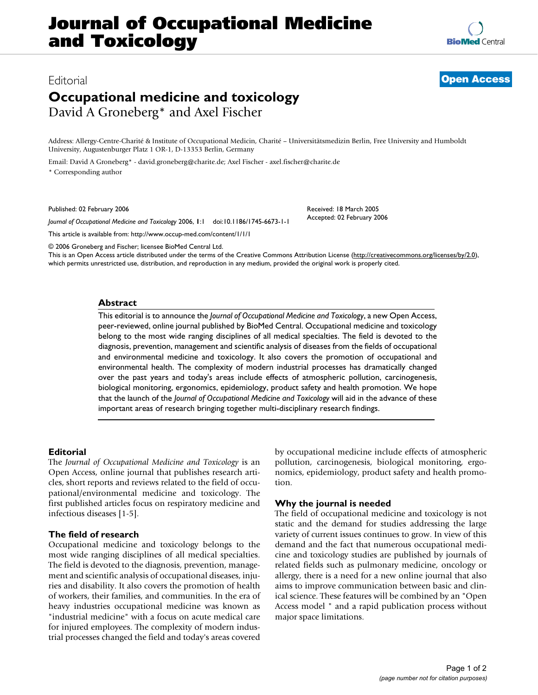# **Journal of Occupational Medicine and Toxicology**

# **Occupational medicine and toxicology** David A Groneberg\* and Axel Fischer

Address: Allergy-Centre-Charité & Institute of Occupational Medicin, Charité – Universitätsmedizin Berlin, Free University and Humboldt University, Augustenburger Platz 1 OR-1, D-13353 Berlin, Germany

Email: David A Groneberg\* - david.groneberg@charite.de; Axel Fischer - axel.fischer@charite.de \* Corresponding author

Published: 02 February 2006

*Journal of Occupational Medicine and Toxicology* 2006, **1**:1 doi:10.1186/1745-6673-1-1

[This article is available from: http://www.occup-med.com/content/1/1/1](http://www.occup-med.com/content/1/1/1)

© 2006 Groneberg and Fischer; licensee BioMed Central Ltd.

This is an Open Access article distributed under the terms of the Creative Commons Attribution License [\(http://creativecommons.org/licenses/by/2.0\)](http://creativecommons.org/licenses/by/2.0), which permits unrestricted use, distribution, and reproduction in any medium, provided the original work is properly cited.

#### **Abstract**

This editorial is to announce the *Journal of Occupational Medicine and Toxicology*, a new Open Access, peer-reviewed, online journal published by BioMed Central. Occupational medicine and toxicology belong to the most wide ranging disciplines of all medical specialties. The field is devoted to the diagnosis, prevention, management and scientific analysis of diseases from the fields of occupational and environmental medicine and toxicology. It also covers the promotion of occupational and environmental health. The complexity of modern industrial processes has dramatically changed over the past years and today's areas include effects of atmospheric pollution, carcinogenesis, biological monitoring, ergonomics, epidemiology, product safety and health promotion. We hope that the launch of the *Journal of Occupational Medicine and Toxicology* will aid in the advance of these important areas of research bringing together multi-disciplinary research findings.

#### **Editorial**

The *Journal of Occupational Medicine and Toxicology* is an Open Access, online journal that publishes research articles, short reports and reviews related to the field of occupational/environmental medicine and toxicology. The first published articles focus on respiratory medicine and infectious diseases [1-5].

# **The field of research**

Occupational medicine and toxicology belongs to the most wide ranging disciplines of all medical specialties. The field is devoted to the diagnosis, prevention, management and scientific analysis of occupational diseases, injuries and disability. It also covers the promotion of health of workers, their families, and communities. In the era of heavy industries occupational medicine was known as "industrial medicine" with a focus on acute medical care for injured employees. The complexity of modern industrial processes changed the field and today's areas covered by occupational medicine include effects of atmospheric pollution, carcinogenesis, biological monitoring, ergonomics, epidemiology, product safety and health promotion.

# **Why the journal is needed**

The field of occupational medicine and toxicology is not static and the demand for studies addressing the large variety of current issues continues to grow. In view of this demand and the fact that numerous occupational medicine and toxicology studies are published by journals of related fields such as pulmonary medicine, oncology or allergy, there is a need for a new online journal that also aims to improve communication between basic and clinical science. These features will be combined by an "Open Access model " and a rapid publication process without major space limitations.





Received: 18 March 2005 Accepted: 02 February 2006